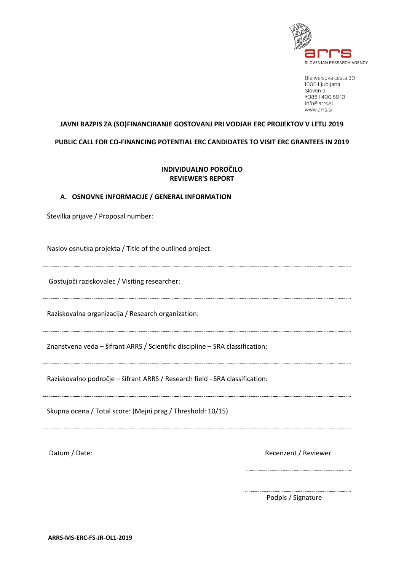

Bleiweisova cesta 30 1000 Ljubljana Slovenia +38614005910 info@arrs.si www.arrs.si

# **JAVNI RAZPIS ZA (SO)FINANCIRANJE GOSTOVANJ PRI VODJAH ERC PROJEKTOV V LETU 2019**

**PUBLIC CALL FOR CO-FINANCING POTENTIAL ERC CANDIDATES TO VISIT ERC GRANTEES IN 2019**

## **INDIVIDUALNO POROČILO REVIEWER'S REPORT**

#### **A. OSNOVNE INFORMACIJE / GENERAL INFORMATION**

Številka prijave / Proposal number:

Naslov osnutka projekta / Title of the outlined project:

Gostujoči raziskovalec / Visiting researcher:

Raziskovalna organizacija / Research organization:

Znanstvena veda – šifrant ARRS / Scientific discipline – SRA classification:

Raziskovalno področje – šifrant ARRS / Research field - SRA classification:

Skupna ocena / Total score: (Mejni prag / Threshold: 10/15)

Datum / Date: Network and Datum / Date: Network and Datum / Recenzent / Reviewer

Podpis / Signature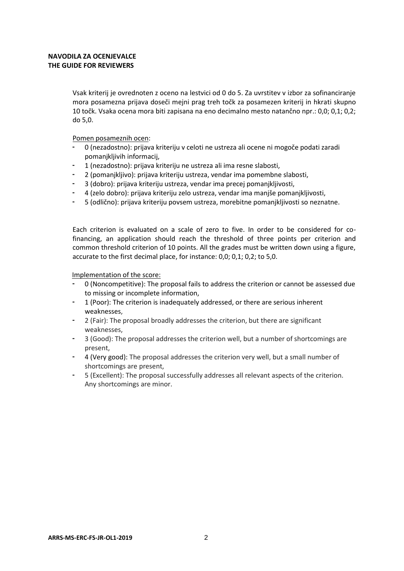## **NAVODILA ZA OCENJEVALCE THE GUIDE FOR REVIEWERS**

Vsak kriterij je ovrednoten z oceno na lestvici od 0 do 5. Za uvrstitev v izbor za sofinanciranje mora posamezna prijava doseči mejni prag treh točk za posamezen kriterij in hkrati skupno 10 točk. Vsaka ocena mora biti zapisana na eno decimalno mesto natančno npr.: 0,0; 0,1; 0,2; do 5,0.

Pomen posameznih ocen:

- 0 (nezadostno): prijava kriteriju v celoti ne ustreza ali ocene ni mogoče podati zaradi pomanjkljivih informacij,
- 1 (nezadostno): prijava kriteriju ne ustreza ali ima resne slabosti,
- 2 (pomanjkljivo): prijava kriteriju ustreza, vendar ima pomembne slabosti,
- 3 (dobro): prijava kriteriju ustreza, vendar ima precej pomanjkljivosti,
- 4 (zelo dobro): prijava kriteriju zelo ustreza, vendar ima manjše pomanjkljivosti,
- 5 (odlično): prijava kriteriju povsem ustreza, morebitne pomanjkljivosti so neznatne.

Each criterion is evaluated on a scale of zero to five. In order to be considered for cofinancing, an application should reach the threshold of three points per criterion and common threshold criterion of 10 points. All the grades must be written down using a figure, accurate to the first decimal place, for instance: 0,0; 0,1; 0,2; to 5,0.

Implementation of the score:

- 0 (Noncompetitive): The proposal fails to address the criterion or cannot be assessed due to missing or incomplete information,
- 1 (Poor): The criterion is inadequately addressed, or there are serious inherent weaknesses,
- 2 (Fair): The proposal broadly addresses the criterion, but there are significant weaknesses,
- 3 (Good): The proposal addresses the criterion well, but a number of shortcomings are present,
- 4 (Very good): The proposal addresses the criterion very well, but a small number of shortcomings are present,
- 5 (Excellent): The proposal successfully addresses all relevant aspects of the criterion. Any shortcomings are minor.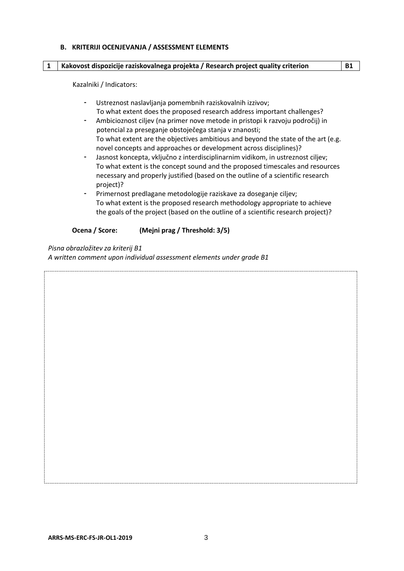#### **B. KRITERIJI OCENJEVANJA / ASSESSMENT ELEMENTS**

#### **1 Kakovost dispozicije raziskovalnega projekta / Research project quality criterion B1**

Kazalniki / Indicators:

- Ustreznost naslavljanja pomembnih raziskovalnih izzivov; To what extent does the proposed research address important challenges?
- Ambicioznost ciljev (na primer nove metode in pristopi k razvoju področij) in potencial za preseganje obstoječega stanja v znanosti; To what extent are the objectives ambitious and beyond the state of the art (e.g. novel concepts and approaches or development across disciplines)?
- Jasnost koncepta, vključno z interdisciplinarnim vidikom, in ustreznost ciljev; To what extent is the concept sound and the proposed timescales and resources necessary and properly justified (based on the outline of a scientific research project)?
- Primernost predlagane metodologije raziskave za doseganje ciljev; To what extent is the proposed research methodology appropriate to achieve the goals of the project (based on the outline of a scientific research project)?

### **Ocena / Score: (Mejni prag / Threshold: 3/5)**

*Pisna obrazložitev za kriterij B1* 

*A written comment upon individual assessment elements under grade B1*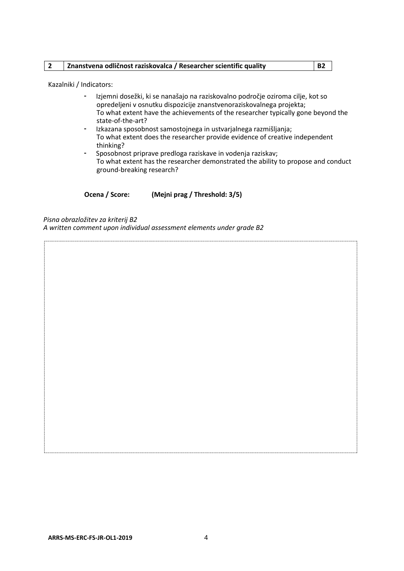|  | Znanstvena odličnost raziskovalca / Researcher scientific quality | <b>B2</b> |
|--|-------------------------------------------------------------------|-----------|
|--|-------------------------------------------------------------------|-----------|

Kazalniki / Indicators:

- Izjemni dosežki, ki se nanašajo na raziskovalno področje oziroma cilje, kot so opredeljeni v osnutku dispozicije znanstvenoraziskovalnega projekta; To what extent have the achievements of the researcher typically gone beyond the state-of-the-art?
- Izkazana sposobnost samostojnega in ustvarjalnega razmišljanja; To what extent does the researcher provide evidence of creative independent thinking?
- Sposobnost priprave predloga raziskave in vodenja raziskav; To what extent has the researcher demonstrated the ability to propose and conduct ground-breaking research?

**Ocena / Score: (Mejni prag / Threshold: 3/5)**

*Pisna obrazložitev za kriterij B2* 

*A written comment upon individual assessment elements under grade B2*